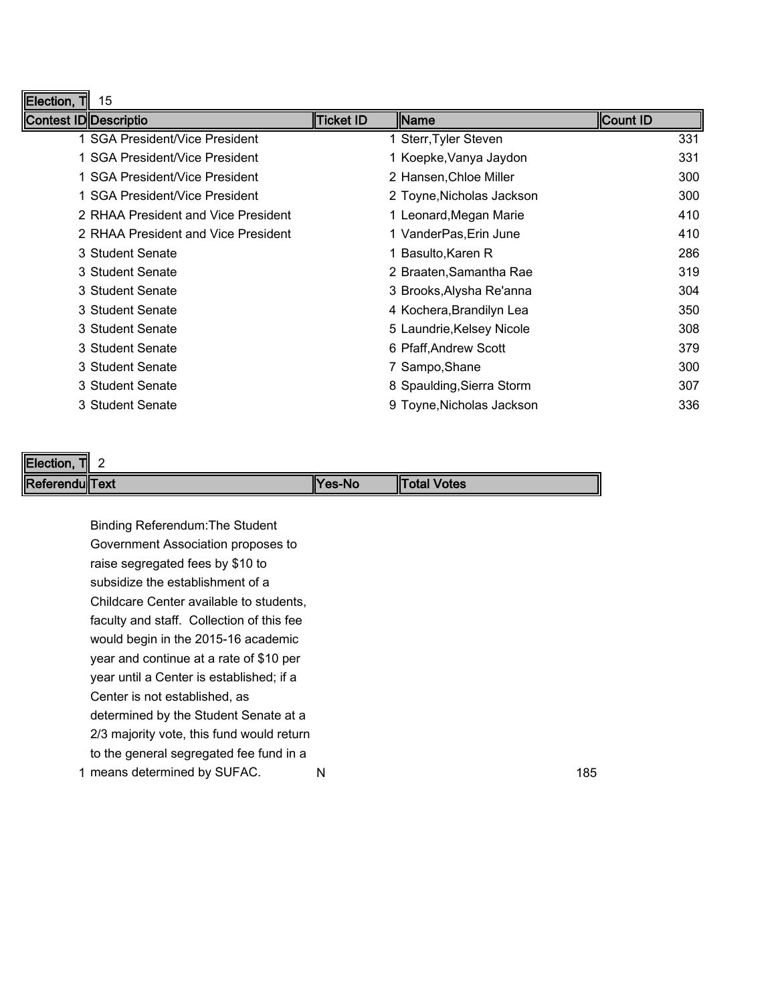| Election, T<br>15                   |                  |                           |          |
|-------------------------------------|------------------|---------------------------|----------|
| Contest ID Descriptio               | <b>Ticket ID</b> | <b>I</b> Name             | Count ID |
| 1 SGA President/Vice President      |                  | 1 Sterr, Tyler Steven     | 331      |
| 1 SGA President/Vice President      |                  | 1 Koepke, Vanya Jaydon    | 331      |
| 1 SGA President/Vice President      |                  | 2 Hansen, Chloe Miller    | 300      |
| 1 SGA President/Vice President      |                  | 2 Toyne, Nicholas Jackson | 300      |
| 2 RHAA President and Vice President |                  | 1 Leonard, Megan Marie    | 410      |
| 2 RHAA President and Vice President |                  | 1 VanderPas, Erin June    | 410      |
| 3 Student Senate                    |                  | 1 Basulto, Karen R        | 286      |
| 3 Student Senate                    |                  | 2 Braaten, Samantha Rae   | 319      |
| 3 Student Senate                    |                  | 3 Brooks, Alysha Re'anna  | 304      |
| 3 Student Senate                    |                  | 4 Kochera, Brandilyn Lea  | 350      |
| 3 Student Senate                    |                  | 5 Laundrie, Kelsey Nicole | 308      |
| 3 Student Senate                    |                  | 6 Pfaff, Andrew Scott     | 379      |
| 3 Student Senate                    |                  | 7 Sampo, Shane            | 300      |
| 3 Student Senate                    |                  | 8 Spaulding, Sierra Storm | 307      |
| 3 Student Senate                    |                  | 9 Toyne, Nicholas Jackson | 336      |

| Election,<br>TII<br><u>.</u> |                |                     |
|------------------------------|----------------|---------------------|
| Referendu Text               | <b>TYes-No</b> | <b>"Total Votes</b> |

1 means determined by SUFAC. Name and the set of the set of the set of the set of the set of the set of the set of the set of the set of the set of the set of the set of the set of the set of the set of the set of the set Binding Referendum:The Student Government Association proposes to raise segregated fees by \$10 to subsidize the establishment of a Childcare Center available to students, faculty and staff. Collection of this fee would begin in the 2015-16 academic year and continue at a rate of \$10 per year until a Center is established; if a Center is not established, as determined by the Student Senate at a 2/3 majority vote, this fund would return to the general segregated fee fund in a

F